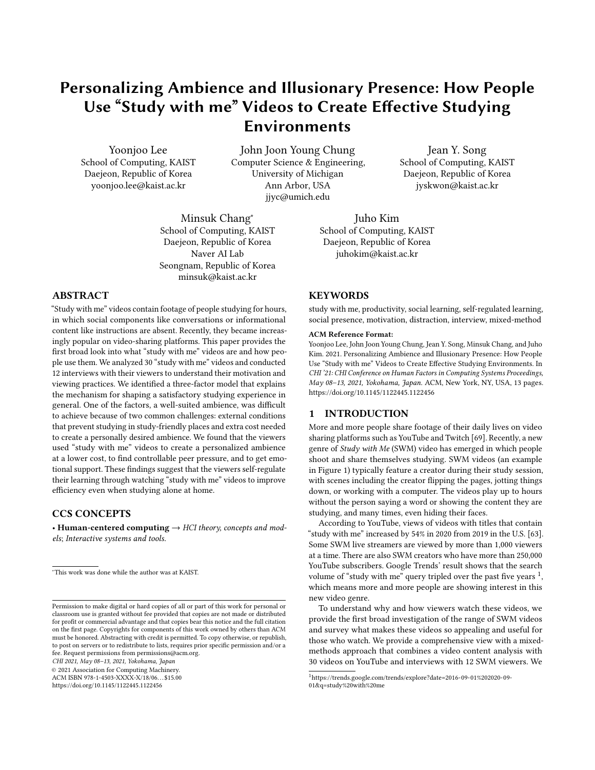# Personalizing Ambience and Illusionary Presence: How People Use "Study with me" Videos to Create Effective Studying Environments

Yoonjoo Lee School of Computing, KAIST Daejeon, Republic of Korea yoonjoo.lee@kaist.ac.kr

John Joon Young Chung Computer Science & Engineering, University of Michigan Ann Arbor, USA jjyc@umich.edu

Minsuk Chang<sup>∗</sup> School of Computing, KAIST Daejeon, Republic of Korea Naver AI Lab Seongnam, Republic of Korea minsuk@kaist.ac.kr

# ABSTRACT

"Study with me" videos contain footage of people studying for hours, in which social components like conversations or informational content like instructions are absent. Recently, they became increasingly popular on video-sharing platforms. This paper provides the first broad look into what "study with me" videos are and how people use them. We analyzed 30 "study with me" videos and conducted 12 interviews with their viewers to understand their motivation and viewing practices. We identified a three-factor model that explains the mechanism for shaping a satisfactory studying experience in general. One of the factors, a well-suited ambience, was difficult to achieve because of two common challenges: external conditions that prevent studying in study-friendly places and extra cost needed to create a personally desired ambience. We found that the viewers used "study with me" videos to create a personalized ambience at a lower cost, to find controllable peer pressure, and to get emotional support. These findings suggest that the viewers self-regulate their learning through watching "study with me" videos to improve efficiency even when studying alone at home.

# CCS CONCEPTS

• Human-centered computing  $\rightarrow$  HCI theory, concepts and models; Interactive systems and tools.

CHI 2021, May 08–13, 2021, Yokohama, Japan

© 2021 Association for Computing Machinery.

ACM ISBN 978-1-4503-XXXX-X/18/06. . . \$15.00 <https://doi.org/10.1145/1122445.1122456>

Jean Y. Song School of Computing, KAIST Daejeon, Republic of Korea jyskwon@kaist.ac.kr

Juho Kim School of Computing, KAIST Daejeon, Republic of Korea juhokim@kaist.ac.kr

# **KEYWORDS**

study with me, productivity, social learning, self-regulated learning, social presence, motivation, distraction, interview, mixed-method

#### ACM Reference Format:

Yoonjoo Lee, John Joon Young Chung, Jean Y. Song, Minsuk Chang, and Juho Kim. 2021. Personalizing Ambience and Illusionary Presence: How People Use "Study with me" Videos to Create Effective Studying Environments. In CHI '21: CHI Conference on Human Factors in Computing Systems Proceedings, May 08–13, 2021, Yokohama, Japan. ACM, New York, NY, USA, [13](#page-12-0) pages. <https://doi.org/10.1145/1122445.1122456>

### 1 INTRODUCTION

More and more people share footage of their daily lives on video sharing platforms such as YouTube and Twitch [\[69\]](#page-11-0). Recently, a new genre of Study with Me (SWM) video has emerged in which people shoot and share themselves studying. SWM videos (an example in Figure [1\)](#page-1-0) typically feature a creator during their study session, with scenes including the creator flipping the pages, jotting things down, or working with a computer. The videos play up to hours without the person saying a word or showing the content they are studying, and many times, even hiding their faces.

According to YouTube, views of videos with titles that contain "study with me" increased by 54% in 2020 from 2019 in the U.S. [\[63\]](#page-11-1). Some SWM live streamers are viewed by more than 1,000 viewers at a time. There are also SWM creators who have more than 250,000 YouTube subscribers. Google Trends' result shows that the search volume of "study with me" query tripled over the past five years  $^1,$  $^1,$  $^1,$ which means more and more people are showing interest in this new video genre.

To understand why and how viewers watch these videos, we provide the first broad investigation of the range of SWM videos and survey what makes these videos so appealing and useful for those who watch. We provide a comprehensive view with a mixedmethods approach that combines a video content analysis with 30 videos on YouTube and interviews with 12 SWM viewers. We

<sup>∗</sup>This work was done while the author was at KAIST.

Permission to make digital or hard copies of all or part of this work for personal or classroom use is granted without fee provided that copies are not made or distributed for profit or commercial advantage and that copies bear this notice and the full citation on the first page. Copyrights for components of this work owned by others than ACM must be honored. Abstracting with credit is permitted. To copy otherwise, or republish, to post on servers or to redistribute to lists, requires prior specific permission and/or a fee. Request permissions from permissions@acm.org.

<span id="page-0-0"></span><sup>1</sup>[https://trends.google.com/trends/explore?date=2016-09-01%202020-09-](https://trends.google.com/trends/explore?date=2016-09-01%202020-09-01&q=study%20with%20me) [01&q=study%20with%20me](https://trends.google.com/trends/explore?date=2016-09-01%202020-09-01&q=study%20with%20me)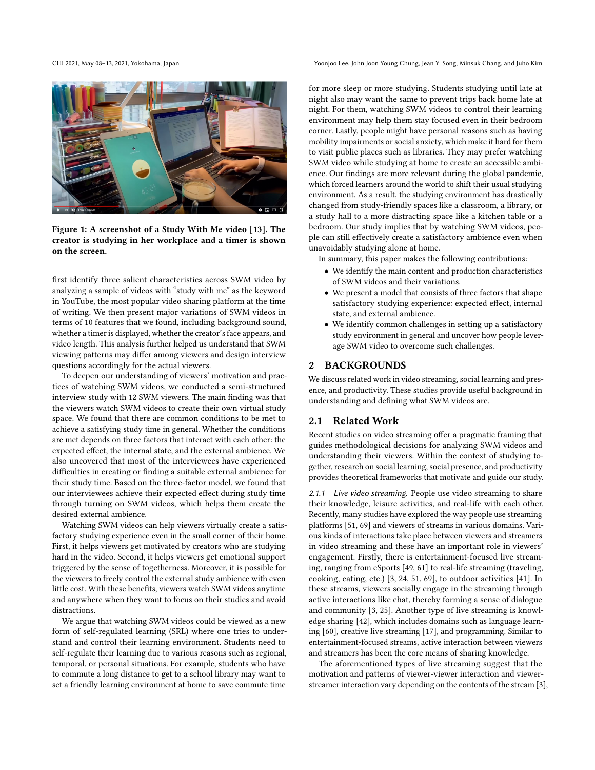CHI 2021, May 08–13, 2021, Yokohama, Japan Yoonjoo Lee, John Joon Young Chung, Jean Y. Song, Minsuk Chang, and Juho Kim

<span id="page-1-0"></span>

Figure 1: A screenshot of a Study With Me video [\[13\]](#page-10-0). The creator is studying in her workplace and a timer is shown on the screen.

first identify three salient characteristics across SWM video by analyzing a sample of videos with "study with me" as the keyword in YouTube, the most popular video sharing platform at the time of writing. We then present major variations of SWM videos in terms of 10 features that we found, including background sound, whether a timer is displayed, whether the creator's face appears, and video length. This analysis further helped us understand that SWM viewing patterns may differ among viewers and design interview questions accordingly for the actual viewers.

To deepen our understanding of viewers' motivation and practices of watching SWM videos, we conducted a semi-structured interview study with 12 SWM viewers. The main finding was that the viewers watch SWM videos to create their own virtual study space. We found that there are common conditions to be met to achieve a satisfying study time in general. Whether the conditions are met depends on three factors that interact with each other: the expected effect, the internal state, and the external ambience. We also uncovered that most of the interviewees have experienced difficulties in creating or finding a suitable external ambience for their study time. Based on the three-factor model, we found that our interviewees achieve their expected effect during study time through turning on SWM videos, which helps them create the desired external ambience.

Watching SWM videos can help viewers virtually create a satisfactory studying experience even in the small corner of their home. First, it helps viewers get motivated by creators who are studying hard in the video. Second, it helps viewers get emotional support triggered by the sense of togetherness. Moreover, it is possible for the viewers to freely control the external study ambience with even little cost. With these benefits, viewers watch SWM videos anytime and anywhere when they want to focus on their studies and avoid distractions.

We argue that watching SWM videos could be viewed as a new form of self-regulated learning (SRL) where one tries to understand and control their learning environment. Students need to self-regulate their learning due to various reasons such as regional, temporal, or personal situations. For example, students who have to commute a long distance to get to a school library may want to set a friendly learning environment at home to save commute time

for more sleep or more studying. Students studying until late at night also may want the same to prevent trips back home late at night. For them, watching SWM videos to control their learning environment may help them stay focused even in their bedroom corner. Lastly, people might have personal reasons such as having mobility impairments or social anxiety, which make it hard for them to visit public places such as libraries. They may prefer watching SWM video while studying at home to create an accessible ambience. Our findings are more relevant during the global pandemic, which forced learners around the world to shift their usual studying environment. As a result, the studying environment has drastically changed from study-friendly spaces like a classroom, a library, or a study hall to a more distracting space like a kitchen table or a bedroom. Our study implies that by watching SWM videos, people can still effectively create a satisfactory ambience even when unavoidably studying alone at home.

In summary, this paper makes the following contributions:

- We identify the main content and production characteristics of SWM videos and their variations.
- We present a model that consists of three factors that shape satisfactory studying experience: expected effect, internal state, and external ambience.
- We identify common challenges in setting up a satisfactory study environment in general and uncover how people leverage SWM video to overcome such challenges.

### 2 BACKGROUNDS

We discuss related work in video streaming, social learning and presence, and productivity. These studies provide useful background in understanding and defining what SWM videos are.

### 2.1 Related Work

Recent studies on video streaming offer a pragmatic framing that guides methodological decisions for analyzing SWM videos and understanding their viewers. Within the context of studying together, research on social learning, social presence, and productivity provides theoretical frameworks that motivate and guide our study.

2.1.1 Live video streaming. People use video streaming to share their knowledge, leisure activities, and real-life with each other. Recently, many studies have explored the way people use streaming platforms [\[51,](#page-11-2) [69\]](#page-11-0) and viewers of streams in various domains. Various kinds of interactions take place between viewers and streamers in video streaming and these have an important role in viewers' engagement. Firstly, there is entertainment-focused live streaming, ranging from eSports [\[49,](#page-11-3) [61\]](#page-11-4) to real-life streaming (traveling, cooking, eating, etc.) [\[3,](#page-10-1) [24,](#page-10-2) [51,](#page-11-2) [69\]](#page-11-0), to outdoor activities [\[41\]](#page-11-5). In these streams, viewers socially engage in the streaming through active interactions like chat, thereby forming a sense of dialogue and community [\[3,](#page-10-1) [25\]](#page-10-3). Another type of live streaming is knowledge sharing [\[42\]](#page-11-6), which includes domains such as language learning [\[60\]](#page-11-7), creative live streaming [\[17\]](#page-10-4), and programming. Similar to entertainment-focused streams, active interaction between viewers and streamers has been the core means of sharing knowledge.

The aforementioned types of live streaming suggest that the motivation and patterns of viewer-viewer interaction and viewerstreamer interaction vary depending on the contents of the stream [\[3\]](#page-10-1),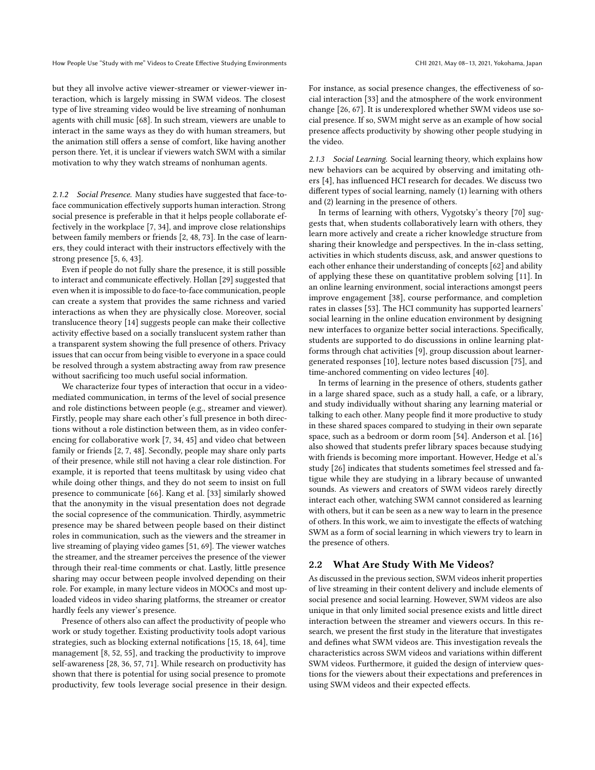but they all involve active viewer-streamer or viewer-viewer interaction, which is largely missing in SWM videos. The closest type of live streaming video would be live streaming of nonhuman agents with chill music [\[68\]](#page-11-8). In such stream, viewers are unable to interact in the same ways as they do with human streamers, but the animation still offers a sense of comfort, like having another person there. Yet, it is unclear if viewers watch SWM with a similar motivation to why they watch streams of nonhuman agents.

2.1.2 Social Presence. Many studies have suggested that face-toface communication effectively supports human interaction. Strong social presence is preferable in that it helps people collaborate effectively in the workplace [\[7,](#page-10-5) [34\]](#page-11-9), and improve close relationships between family members or friends [\[2,](#page-10-6) [48,](#page-11-10) [73\]](#page-12-1). In the case of learners, they could interact with their instructors effectively with the strong presence [\[5,](#page-10-7) [6,](#page-10-8) [43\]](#page-11-11).

Even if people do not fully share the presence, it is still possible to interact and communicate effectively. Hollan [\[29\]](#page-10-9) suggested that even when it is impossible to do face-to-face communication, people can create a system that provides the same richness and varied interactions as when they are physically close. Moreover, social translucence theory [\[14\]](#page-10-10) suggests people can make their collective activity effective based on a socially translucent system rather than a transparent system showing the full presence of others. Privacy issues that can occur from being visible to everyone in a space could be resolved through a system abstracting away from raw presence without sacrificing too much useful social information.

We characterize four types of interaction that occur in a videomediated communication, in terms of the level of social presence and role distinctions between people (e.g., streamer and viewer). Firstly, people may share each other's full presence in both directions without a role distinction between them, as in video conferencing for collaborative work [\[7,](#page-10-5) [34,](#page-11-9) [45\]](#page-11-12) and video chat between family or friends [\[2,](#page-10-6) [7,](#page-10-5) [48\]](#page-11-10). Secondly, people may share only parts of their presence, while still not having a clear role distinction. For example, it is reported that teens multitask by using video chat while doing other things, and they do not seem to insist on full presence to communicate [\[66\]](#page-11-13). Kang et al. [\[33\]](#page-10-11) similarly showed that the anonymity in the visual presentation does not degrade the social copresence of the communication. Thirdly, asymmetric presence may be shared between people based on their distinct roles in communication, such as the viewers and the streamer in live streaming of playing video games [\[51,](#page-11-2) [69\]](#page-11-0). The viewer watches the streamer, and the streamer perceives the presence of the viewer through their real-time comments or chat. Lastly, little presence sharing may occur between people involved depending on their role. For example, in many lecture videos in MOOCs and most uploaded videos in video sharing platforms, the streamer or creator hardly feels any viewer's presence.

Presence of others also can affect the productivity of people who work or study together. Existing productivity tools adopt various strategies, such as blocking external notifications [\[15,](#page-10-12) [18,](#page-10-13) [64\]](#page-11-14), time management [\[8,](#page-10-14) [52,](#page-11-15) [55\]](#page-11-16), and tracking the productivity to improve self-awareness [\[28,](#page-10-15) [36,](#page-11-17) [57,](#page-11-18) [71\]](#page-11-19). While research on productivity has shown that there is potential for using social presence to promote productivity, few tools leverage social presence in their design. For instance, as social presence changes, the effectiveness of so-

cial interaction [\[33\]](#page-10-11) and the atmosphere of the work environment change [\[26,](#page-10-16) [67\]](#page-11-20). It is underexplored whether SWM videos use social presence. If so, SWM might serve as an example of how social presence affects productivity by showing other people studying in the video.

<span id="page-2-0"></span>2.1.3 Social Learning. Social learning theory, which explains how new behaviors can be acquired by observing and imitating others [\[4\]](#page-10-17), has influenced HCI research for decades. We discuss two different types of social learning, namely (1) learning with others and (2) learning in the presence of others.

In terms of learning with others, Vygotsky's theory [\[70\]](#page-11-21) suggests that, when students collaboratively learn with others, they learn more actively and create a richer knowledge structure from sharing their knowledge and perspectives. In the in-class setting, activities in which students discuss, ask, and answer questions to each other enhance their understanding of concepts [\[62\]](#page-11-22) and ability of applying these these on quantitative problem solving [\[11\]](#page-10-18). In an online learning environment, social interactions amongst peers improve engagement [\[38\]](#page-11-23), course performance, and completion rates in classes [\[53\]](#page-11-24). The HCI community has supported learners' social learning in the online education environment by designing new interfaces to organize better social interactions. Specifically, students are supported to do discussions in online learning platforms through chat activities [\[9\]](#page-10-19), group discussion about learnergenerated responses [\[10\]](#page-10-20), lecture notes based discussion [\[75\]](#page-12-2), and time-anchored commenting on video lectures [\[40\]](#page-11-25).

In terms of learning in the presence of others, students gather in a large shared space, such as a study hall, a cafe, or a library, and study individually without sharing any learning material or talking to each other. Many people find it more productive to study in these shared spaces compared to studying in their own separate space, such as a bedroom or dorm room [\[54\]](#page-11-26). Anderson et al. [\[16\]](#page-10-21) also showed that students prefer library spaces because studying with friends is becoming more important. However, Hedge et al.'s study [\[26\]](#page-10-16) indicates that students sometimes feel stressed and fatigue while they are studying in a library because of unwanted sounds. As viewers and creators of SWM videos rarely directly interact each other, watching SWM cannot considered as learning with others, but it can be seen as a new way to learn in the presence of others. In this work, we aim to investigate the effects of watching SWM as a form of social learning in which viewers try to learn in the presence of others.

### 2.2 What Are Study With Me Videos?

As discussed in the previous section, SWM videos inherit properties of live streaming in their content delivery and include elements of social presence and social learning. However, SWM videos are also unique in that only limited social presence exists and little direct interaction between the streamer and viewers occurs. In this research, we present the first study in the literature that investigates and defines what SWM videos are. This investigation reveals the characteristics across SWM videos and variations within different SWM videos. Furthermore, it guided the design of interview questions for the viewers about their expectations and preferences in using SWM videos and their expected effects.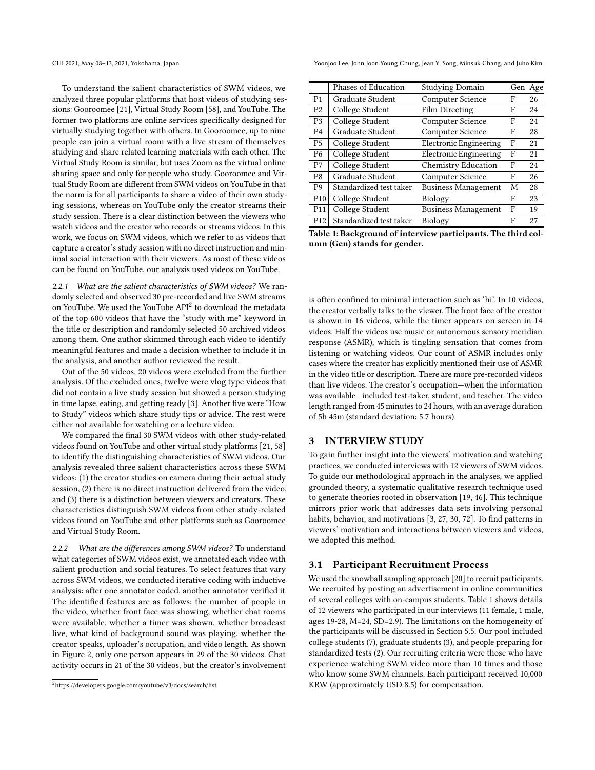To understand the salient characteristics of SWM videos, we analyzed three popular platforms that host videos of studying sessions: Gooroomee [\[21\]](#page-10-22), Virtual Study Room [\[58\]](#page-11-27), and YouTube. The former two platforms are online services specifically designed for virtually studying together with others. In Gooroomee, up to nine people can join a virtual room with a live stream of themselves studying and share related learning materials with each other. The Virtual Study Room is similar, but uses Zoom as the virtual online sharing space and only for people who study. Gooroomee and Virtual Study Room are different from SWM videos on YouTube in that the norm is for all participants to share a video of their own studying sessions, whereas on YouTube only the creator streams their study session. There is a clear distinction between the viewers who watch videos and the creator who records or streams videos. In this work, we focus on SWM videos, which we refer to as videos that capture a creator's study session with no direct instruction and minimal social interaction with their viewers. As most of these videos can be found on YouTube, our analysis used videos on YouTube.

2.2.1 What are the salient characteristics of SWM videos? We randomly selected and observed 30 pre-recorded and live SWM streams on YouTube. We used the YouTube API<sup>[2](#page-3-0)</sup> to download the metadata of the top 600 videos that have the "study with me" keyword in the title or description and randomly selected 50 archived videos among them. One author skimmed through each video to identify meaningful features and made a decision whether to include it in the analysis, and another author reviewed the result.

Out of the 50 videos, 20 videos were excluded from the further analysis. Of the excluded ones, twelve were vlog type videos that did not contain a live study session but showed a person studying in time lapse, eating, and getting ready [\[3\]](#page-10-1). Another five were "How to Study" videos which share study tips or advice. The rest were either not available for watching or a lecture video.

We compared the final 30 SWM videos with other study-related videos found on YouTube and other virtual study platforms [\[21,](#page-10-22) [58\]](#page-11-27) to identify the distinguishing characteristics of SWM videos. Our analysis revealed three salient characteristics across these SWM videos: (1) the creator studies on camera during their actual study session, (2) there is no direct instruction delivered from the video, and (3) there is a distinction between viewers and creators. These characteristics distinguish SWM videos from other study-related videos found on YouTube and other platforms such as Gooroomee and Virtual Study Room.

2.2.2 What are the differences among SWM videos? To understand what categories of SWM videos exist, we annotated each video with salient production and social features. To select features that vary across SWM videos, we conducted iterative coding with inductive analysis: after one annotator coded, another annotator verified it. The identified features are as follows: the number of people in the video, whether front face was showing, whether chat rooms were available, whether a timer was shown, whether broadcast live, what kind of background sound was playing, whether the creator speaks, uploader's occupation, and video length. As shown in Figure [2,](#page-4-0) only one person appears in 29 of the 30 videos. Chat activity occurs in 21 of the 30 videos, but the creator's involvement

CHI 2021, May 08–13, 2021, Yokohama, Japan Yoonjoo Lee, John Joon Young Chung, Jean Y. Song, Minsuk Chang, and Juho Kim

<span id="page-3-1"></span>

|                 | Phases of Education     | <b>Studying Domain</b>        |   | Gen Age |
|-----------------|-------------------------|-------------------------------|---|---------|
| P <sub>1</sub>  | Graduate Student        | <b>Computer Science</b>       | F | 26      |
| P <sub>2</sub>  | College Student         | <b>Film Directing</b>         | F | 24      |
| P <sub>3</sub>  | College Student         | Computer Science              | F | 24      |
| P <sub>4</sub>  | Graduate Student        | <b>Computer Science</b>       | F | 28      |
| P <sub>5</sub>  | College Student         | <b>Electronic Engineering</b> | F | 21      |
| P <sub>6</sub>  | College Student         | <b>Electronic Engineering</b> | F | 21      |
| P7              | College Student         | <b>Chemistry Education</b>    | F | 24      |
| P8              | Graduate Student        | Computer Science              | F | 26      |
| P9              | Standardized test taker | <b>Business Management</b>    | M | 28      |
| P <sub>10</sub> | College Student         | Biology                       | F | 23      |
| P <sub>11</sub> | College Student         | <b>Business Management</b>    | F | 19      |
| P <sub>12</sub> | Standardized test taker | Biology                       | F | 27      |
|                 |                         |                               |   |         |

Table 1: Background of interview participants. The third column (Gen) stands for gender.

is often confined to minimal interaction such as 'hi'. In 10 videos, the creator verbally talks to the viewer. The front face of the creator is shown in 16 videos, while the timer appears on screen in 14 videos. Half the videos use music or autonomous sensory meridian response (ASMR), which is tingling sensation that comes from listening or watching videos. Our count of ASMR includes only cases where the creator has explicitly mentioned their use of ASMR in the video title or description. There are more pre-recorded videos than live videos. The creator's occupation—when the information was available—included test-taker, student, and teacher. The video length ranged from 45 minutes to 24 hours, with an average duration of 5h 45m (standard deviation: 5.7 hours).

### 3 INTERVIEW STUDY

To gain further insight into the viewers' motivation and watching practices, we conducted interviews with 12 viewers of SWM videos. To guide our methodological approach in the analyses, we applied grounded theory, a systematic qualitative research technique used to generate theories rooted in observation [\[19,](#page-10-23) [46\]](#page-11-28). This technique mirrors prior work that addresses data sets involving personal habits, behavior, and motivations [\[3,](#page-10-1) [27,](#page-10-24) [30,](#page-10-25) [72\]](#page-11-29). To find patterns in viewers' motivation and interactions between viewers and videos, we adopted this method.

### 3.1 Participant Recruitment Process

We used the snowball sampling approach [\[20\]](#page-10-26) to recruit participants. We recruited by posting an advertisement in online communities of several colleges with on-campus students. Table [1](#page-3-1) shows details of 12 viewers who participated in our interviews (11 female, 1 male, ages 19-28, M=24, SD=2.9). The limitations on the homogeneity of the participants will be discussed in Section [5.5.](#page-9-0) Our pool included college students (7), graduate students (3), and people preparing for standardized tests (2). Our recruiting criteria were those who have experience watching SWM video more than 10 times and those who know some SWM channels. Each participant received 10,000 KRW (approximately USD 8.5) for compensation.

<span id="page-3-0"></span><sup>2</sup>https://developers.google.com/youtube/v3/docs/search/list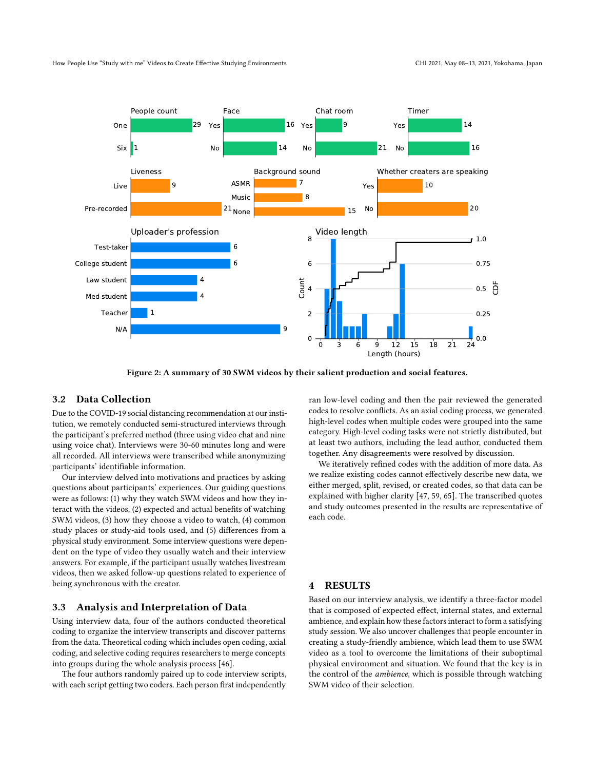<span id="page-4-0"></span>

Figure 2: A summary of 30 SWM videos by their salient production and social features.

# 3.2 Data Collection

Due to the COVID-19 social distancing recommendation at our institution, we remotely conducted semi-structured interviews through the participant's preferred method (three using video chat and nine using voice chat). Interviews were 30-60 minutes long and were all recorded. All interviews were transcribed while anonymizing participants' identifiable information.

Our interview delved into motivations and practices by asking questions about participants' experiences. Our guiding questions were as follows: (1) why they watch SWM videos and how they interact with the videos, (2) expected and actual benefits of watching SWM videos, (3) how they choose a video to watch, (4) common study places or study-aid tools used, and (5) differences from a physical study environment. Some interview questions were dependent on the type of video they usually watch and their interview answers. For example, if the participant usually watches livestream videos, then we asked follow-up questions related to experience of being synchronous with the creator.

#### 3.3 Analysis and Interpretation of Data

Using interview data, four of the authors conducted theoretical coding to organize the interview transcripts and discover patterns from the data. Theoretical coding which includes open coding, axial coding, and selective coding requires researchers to merge concepts into groups during the whole analysis process [\[46\]](#page-11-28).

The four authors randomly paired up to code interview scripts, with each script getting two coders. Each person first independently

ran low-level coding and then the pair reviewed the generated codes to resolve conflicts. As an axial coding process, we generated high-level codes when multiple codes were grouped into the same category. High-level coding tasks were not strictly distributed, but at least two authors, including the lead author, conducted them together. Any disagreements were resolved by discussion.

We iteratively refined codes with the addition of more data. As we realize existing codes cannot effectively describe new data, we either merged, split, revised, or created codes, so that data can be explained with higher clarity [\[47,](#page-11-30) [59,](#page-11-31) [65\]](#page-11-32). The transcribed quotes and study outcomes presented in the results are representative of each code.

## 4 RESULTS

Based on our interview analysis, we identify a three-factor model that is composed of expected effect, internal states, and external ambience, and explain how these factors interact to form a satisfying study session. We also uncover challenges that people encounter in creating a study-friendly ambience, which lead them to use SWM video as a tool to overcome the limitations of their suboptimal physical environment and situation. We found that the key is in the control of the ambience, which is possible through watching SWM video of their selection.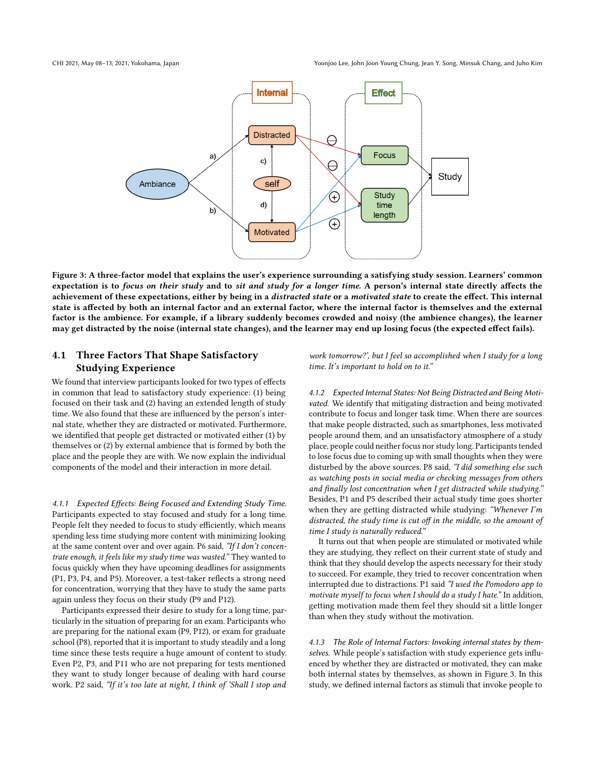<span id="page-5-0"></span>

Figure 3: A three-factor model that explains the user's experience surrounding a satisfying study session. Learners' common expectation is to focus on their study and to sit and study for a longer time. A person's internal state directly affects the achievement of these expectations, either by being in a distracted state or a motivated state to create the effect. This internal state is affected by both an internal factor and an external factor, where the internal factor is themselves and the external factor is the ambience. For example, if a library suddenly becomes crowded and noisy (the ambience changes), the learner may get distracted by the noise (internal state changes), and the learner may end up losing focus (the expected effect fails).

# 4.1 Three Factors That Shape Satisfactory Studying Experience

We found that interview participants looked for two types of effects in common that lead to satisfactory study experience: (1) being focused on their task and (2) having an extended length of study time. We also found that these are influenced by the person's internal state, whether they are distracted or motivated. Furthermore, we identified that people get distracted or motivated either (1) by themselves or (2) by external ambience that is formed by both the place and the people they are with. We now explain the individual components of the model and their interaction in more detail.

4.1.1 Expected Effects: Being Focused and Extending Study Time. Participants expected to stay focused and study for a long time. People felt they needed to focus to study efficiently, which means spending less time studying more content with minimizing looking at the same content over and over again. P6 said, "If I don't concentrate enough, it feels like my study time was wasted." They wanted to focus quickly when they have upcoming deadlines for assignments (P1, P3, P4, and P5). Moreover, a test-taker reflects a strong need for concentration, worrying that they have to study the same parts again unless they focus on their study (P9 and P12).

Participants expressed their desire to study for a long time, particularly in the situation of preparing for an exam. Participants who are preparing for the national exam (P9, P12), or exam for graduate school (P8), reported that it is important to study steadily and a long time since these tests require a huge amount of content to study. Even P2, P3, and P11 who are not preparing for tests mentioned they want to study longer because of dealing with hard course work. P2 said, "If it's too late at night, I think of 'Shall I stop and

work tomorrow?', but I feel so accomplished when I study for a long time. It's important to hold on to it."

4.1.2 Expected Internal States: Not Being Distracted and Being Motivated. We identify that mitigating distraction and being motivated contribute to focus and longer task time. When there are sources that make people distracted, such as smartphones, less motivated people around them, and an unsatisfactory atmosphere of a study place, people could neither focus nor study long. Participants tended to lose focus due to coming up with small thoughts when they were disturbed by the above sources. P8 said, "I did something else such as watching posts in social media or checking messages from others and finally lost concentration when I get distracted while studying." Besides, P1 and P5 described their actual study time goes shorter when they are getting distracted while studying: "Whenever I'm distracted, the study time is cut off in the middle, so the amount of time I study is naturally reduced."

It turns out that when people are stimulated or motivated while they are studying, they reflect on their current state of study and think that they should develop the aspects necessary for their study to succeed. For example, they tried to recover concentration when interrupted due to distractions. P1 said "I used the Pomodoro app to motivate myself to focus when I should do a study I hate." In addition, getting motivation made them feel they should sit a little longer than when they study without the motivation.

<span id="page-5-1"></span>4.1.3 The Role of Internal Factors: Invoking internal states by themselves. While people's satisfaction with study experience gets influenced by whether they are distracted or motivated, they can make both internal states by themselves, as shown in Figure [3.](#page-5-0) In this study, we defined internal factors as stimuli that invoke people to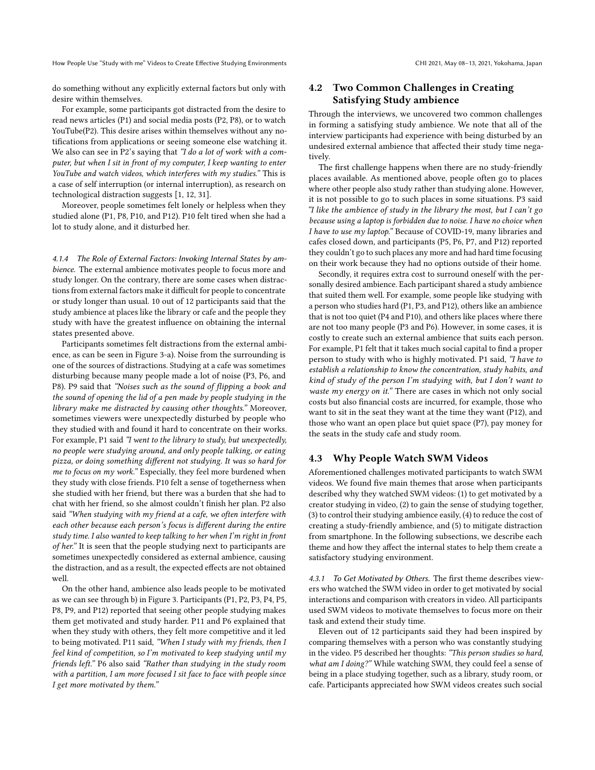How People Use "Study with me" Videos to Create Effective Studying Environments CHI 2021, May 08-13, 2021, Yokohama, Japan

do something without any explicitly external factors but only with desire within themselves.

For example, some participants got distracted from the desire to read news articles (P1) and social media posts (P2, P8), or to watch YouTube(P2). This desire arises within themselves without any notifications from applications or seeing someone else watching it. We also can see in P2's saying that "I do a lot of work with a computer, but when I sit in front of my computer, I keep wanting to enter YouTube and watch videos, which interferes with my studies." This is a case of self interruption (or internal interruption), as research on technological distraction suggests [\[1,](#page-10-27) [12,](#page-10-28) [31\]](#page-10-29).

Moreover, people sometimes felt lonely or helpless when they studied alone (P1, P8, P10, and P12). P10 felt tired when she had a lot to study alone, and it disturbed her.

4.1.4 The Role of External Factors: Invoking Internal States by ambience. The external ambience motivates people to focus more and study longer. On the contrary, there are some cases when distractions from external factors make it difficult for people to concentrate or study longer than usual. 10 out of 12 participants said that the study ambience at places like the library or cafe and the people they study with have the greatest influence on obtaining the internal states presented above.

Participants sometimes felt distractions from the external ambience, as can be seen in Figure [3-](#page-5-0)a). Noise from the surrounding is one of the sources of distractions. Studying at a cafe was sometimes disturbing because many people made a lot of noise (P3, P6, and P8). P9 said that "Noises such as the sound of flipping a book and the sound of opening the lid of a pen made by people studying in the library make me distracted by causing other thoughts." Moreover, sometimes viewers were unexpectedly disturbed by people who they studied with and found it hard to concentrate on their works. For example, P1 said "I went to the library to study, but unexpectedly, no people were studying around, and only people talking, or eating pizza, or doing something different not studying. It was so hard for me to focus on my work." Especially, they feel more burdened when they study with close friends. P10 felt a sense of togetherness when she studied with her friend, but there was a burden that she had to chat with her friend, so she almost couldn't finish her plan. P2 also said "When studying with my friend at a cafe, we often interfere with each other because each person's focus is different during the entire study time. I also wanted to keep talking to her when I'm right in front of her." It is seen that the people studying next to participants are sometimes unexpectedly considered as external ambience, causing the distraction, and as a result, the expected effects are not obtained well.

On the other hand, ambience also leads people to be motivated as we can see through b) in Figure [3.](#page-5-0) Participants (P1, P2, P3, P4, P5, P8, P9, and P12) reported that seeing other people studying makes them get motivated and study harder. P11 and P6 explained that when they study with others, they felt more competitive and it led to being motivated. P11 said, "When I study with my friends, then I feel kind of competition, so I'm motivated to keep studying until my friends left." P6 also said "Rather than studying in the study room with a partition, I am more focused I sit face to face with people since I get more motivated by them."

# <span id="page-6-0"></span>4.2 Two Common Challenges in Creating Satisfying Study ambience

Through the interviews, we uncovered two common challenges in forming a satisfying study ambience. We note that all of the interview participants had experience with being disturbed by an undesired external ambience that affected their study time negatively.

The first challenge happens when there are no study-friendly places available. As mentioned above, people often go to places where other people also study rather than studying alone. However, it is not possible to go to such places in some situations. P3 said "I like the ambience of study in the library the most, but I can't go because using a laptop is forbidden due to noise. I have no choice when I have to use my laptop." Because of COVID-19, many libraries and cafes closed down, and participants (P5, P6, P7, and P12) reported they couldn't go to such places any more and had hard time focusing on their work because they had no options outside of their home.

Secondly, it requires extra cost to surround oneself with the personally desired ambience. Each participant shared a study ambience that suited them well. For example, some people like studying with a person who studies hard (P1, P3, and P12), others like an ambience that is not too quiet (P4 and P10), and others like places where there are not too many people (P3 and P6). However, in some cases, it is costly to create such an external ambience that suits each person. For example, P1 felt that it takes much social capital to find a proper person to study with who is highly motivated. P1 said, "I have to establish a relationship to know the concentration, study habits, and kind of study of the person I'm studying with, but I don't want to waste my energy on it." There are cases in which not only social costs but also financial costs are incurred, for example, those who want to sit in the seat they want at the time they want (P12), and those who want an open place but quiet space (P7), pay money for the seats in the study cafe and study room.

### 4.3 Why People Watch SWM Videos

Aforementioned challenges motivated participants to watch SWM videos. We found five main themes that arose when participants described why they watched SWM videos: (1) to get motivated by a creator studying in video, (2) to gain the sense of studying together, (3) to control their studying ambience easily, (4) to reduce the cost of creating a study-friendly ambience, and (5) to mitigate distraction from smartphone. In the following subsections, we describe each theme and how they affect the internal states to help them create a satisfactory studying environment.

4.3.1 To Get Motivated by Others. The first theme describes viewers who watched the SWM video in order to get motivated by social interactions and comparison with creators in video. All participants used SWM videos to motivate themselves to focus more on their task and extend their study time.

Eleven out of 12 participants said they had been inspired by comparing themselves with a person who was constantly studying in the video. P5 described her thoughts: "This person studies so hard, what am I doing?" While watching SWM, they could feel a sense of being in a place studying together, such as a library, study room, or cafe. Participants appreciated how SWM videos creates such social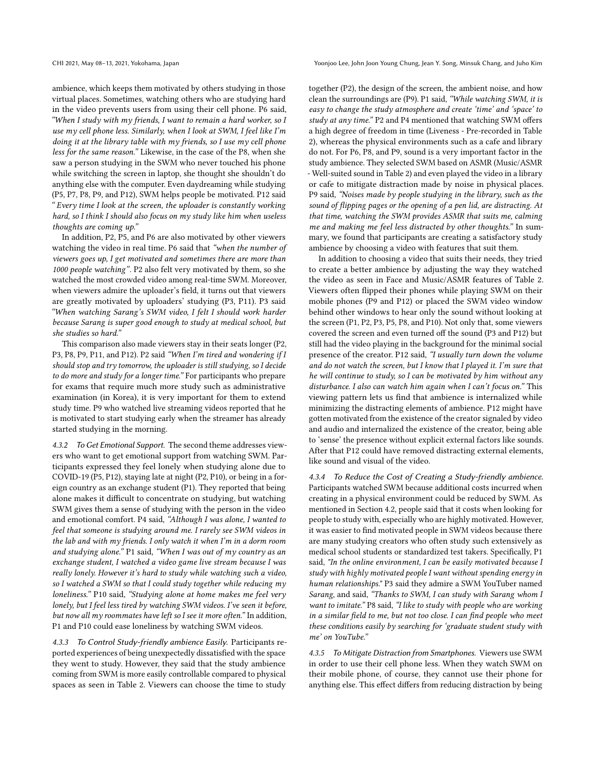CHI 2021, May 08–13, 2021, Yokohama, Japan Yoonjoo Lee, John Joon Young Chung, Jean Y. Song, Minsuk Chang, and Juho Kim

ambience, which keeps them motivated by others studying in those virtual places. Sometimes, watching others who are studying hard in the video prevents users from using their cell phone. P6 said, "When I study with my friends, I want to remain a hard worker, so I use my cell phone less. Similarly, when I look at SWM, I feel like I'm doing it at the library table with my friends, so I use my cell phone less for the same reason." Likewise, in the case of the P8, when she saw a person studying in the SWM who never touched his phone while switching the screen in laptop, she thought she shouldn't do anything else with the computer. Even daydreaming while studying (P5, P7, P8, P9, and P12), SWM helps people be motivated. P12 said " Every time I look at the screen, the uploader is constantly working hard, so I think I should also focus on my study like him when useless thoughts are coming up."

In addition, P2, P5, and P6 are also motivated by other viewers watching the video in real time. P6 said that "when the number of viewers goes up, I get motivated and sometimes there are more than 1000 people watching". P2 also felt very motivated by them, so she watched the most crowded video among real-time SWM. Moreover, when viewers admire the uploader's field, it turns out that viewers are greatly motivated by uploaders' studying (P3, P11). P3 said "When watching Sarang's SWM video, I felt I should work harder because Sarang is super good enough to study at medical school, but she studies so hard."

This comparison also made viewers stay in their seats longer (P2, P3, P8, P9, P11, and P12). P2 said "When I'm tired and wondering if I should stop and try tomorrow, the uploader is still studying, so I decide to do more and study for a longer time." For participants who prepare for exams that require much more study such as administrative examination (in Korea), it is very important for them to extend study time. P9 who watched live streaming videos reported that he is motivated to start studying early when the streamer has already started studying in the morning.

4.3.2 To Get Emotional Support. The second theme addresses viewers who want to get emotional support from watching SWM. Participants expressed they feel lonely when studying alone due to COVID-19 (P5, P12), staying late at night (P2, P10), or being in a foreign country as an exchange student (P1). They reported that being alone makes it difficult to concentrate on studying, but watching SWM gives them a sense of studying with the person in the video and emotional comfort. P4 said, "Although I was alone, I wanted to feel that someone is studying around me. I rarely see SWM videos in the lab and with my friends. I only watch it when I'm in a dorm room and studying alone." P1 said, "When I was out of my country as an exchange student, I watched a video game live stream because I was really lonely. However it's hard to study while watching such a video, so I watched a SWM so that I could study together while reducing my loneliness." P10 said, "Studying alone at home makes me feel very lonely, but I feel less tired by watching SWM videos. I've seen it before, but now all my roommates have left so I see it more often." In addition, P1 and P10 could ease loneliness by watching SWM videos.

<span id="page-7-0"></span>4.3.3 To Control Study-friendly ambience Easily. Participants reported experiences of being unexpectedly dissatisfied with the space they went to study. However, they said that the study ambience coming from SWM is more easily controllable compared to physical spaces as seen in Table [2.](#page-8-0) Viewers can choose the time to study

together (P2), the design of the screen, the ambient noise, and how clean the surroundings are (P9). P1 said, "While watching SWM, it is easy to change the study atmosphere and create 'time' and 'space' to study at any time." P2 and P4 mentioned that watching SWM offers a high degree of freedom in time (Liveness - Pre-recorded in Table [2\)](#page-8-0), whereas the physical environments such as a cafe and library do not. For P6, P8, and P9, sound is a very important factor in the study ambience. They selected SWM based on ASMR (Music/ASMR - Well-suited sound in Table [2\)](#page-8-0) and even played the video in a library or cafe to mitigate distraction made by noise in physical places. P9 said, "Noises made by people studying in the library, such as the sound of flipping pages or the opening of a pen lid, are distracting. At that time, watching the SWM provides ASMR that suits me, calming me and making me feel less distracted by other thoughts." In summary, we found that participants are creating a satisfactory study ambience by choosing a video with features that suit them.

In addition to choosing a video that suits their needs, they tried to create a better ambience by adjusting the way they watched the video as seen in Face and Music/ASMR features of Table [2.](#page-8-0) Viewers often flipped their phones while playing SWM on their mobile phones (P9 and P12) or placed the SWM video window behind other windows to hear only the sound without looking at the screen (P1, P2, P3, P5, P8, and P10). Not only that, some viewers covered the screen and even turned off the sound (P3 and P12) but still had the video playing in the background for the minimal social presence of the creator. P12 said, "I usually turn down the volume and do not watch the screen, but I know that I played it. I'm sure that he will continue to study, so I can be motivated by him without any disturbance. I also can watch him again when I can't focus on." This viewing pattern lets us find that ambience is internalized while minimizing the distracting elements of ambience. P12 might have gotten motivated from the existence of the creator signaled by video and audio and internalized the existence of the creator, being able to 'sense' the presence without explicit external factors like sounds. After that P12 could have removed distracting external elements, like sound and visual of the video.

4.3.4 To Reduce the Cost of Creating a Study-friendly ambience. Participants watched SWM because additional costs incurred when creating in a physical environment could be reduced by SWM. As mentioned in Section [4.2,](#page-6-0) people said that it costs when looking for people to study with, especially who are highly motivated. However, it was easier to find motivated people in SWM videos because there are many studying creators who often study such extensively as medical school students or standardized test takers. Specifically, P1 said, "In the online environment, I can be easily motivated because I study with highly motivated people I want without spending energy in human relationships." P3 said they admire a SWM YouTuber named Sarang, and said, "Thanks to SWM, I can study with Sarang whom I want to imitate." P8 said, "I like to study with people who are working in a similar field to me, but not too close. I can find people who meet these conditions easily by searching for 'graduate student study with me' on YouTube."

4.3.5 To Mitigate Distraction from Smartphones. Viewers use SWM in order to use their cell phone less. When they watch SWM on their mobile phone, of course, they cannot use their phone for anything else. This effect differs from reducing distraction by being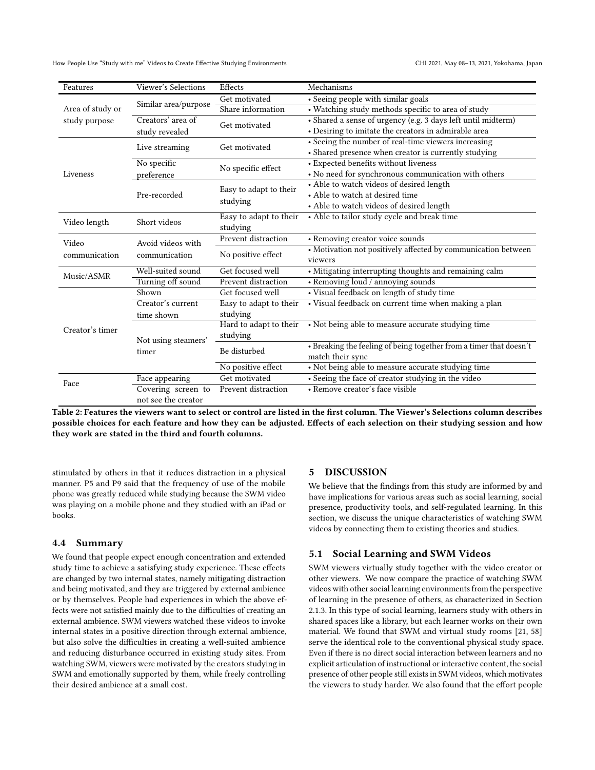How People Use "Study with me" Videos to Create Effective Studying Environments CHI 2021, May 08-13, 2021, Yokohama, Japan

<span id="page-8-0"></span>

| Features         | Viewer's Selections                 | Effects                            | Mechanisms                                                         |
|------------------|-------------------------------------|------------------------------------|--------------------------------------------------------------------|
|                  |                                     | Get motivated                      | • Seeing people with similar goals                                 |
| Area of study or | Similar area/purpose                | Share information                  | · Watching study methods specific to area of study                 |
| study purpose    | Creators' area of<br>study revealed | Get motivated                      | · Shared a sense of urgency (e.g. 3 days left until midterm)       |
|                  |                                     |                                    | • Desiring to imitate the creators in admirable area               |
|                  | Live streaming                      | Get motivated                      | • Seeing the number of real-time viewers increasing                |
|                  |                                     |                                    | • Shared presence when creator is currently studying               |
|                  | No specific                         | No specific effect                 | • Expected benefits without liveness                               |
| Liveness         | preference                          |                                    | • No need for synchronous communication with others                |
|                  | Pre-recorded                        | Easy to adapt to their<br>studying | • Able to watch videos of desired length                           |
|                  |                                     |                                    | • Able to watch at desired time                                    |
|                  |                                     |                                    | • Able to watch videos of desired length                           |
| Video length     | Short videos                        | Easy to adapt to their             | • Able to tailor study cycle and break time                        |
|                  |                                     | studying                           |                                                                    |
| Video            | Avoid videos with                   | Prevent distraction                | • Removing creator voice sounds                                    |
| communication    | communication                       | No positive effect                 | • Motivation not positively affected by communication between      |
|                  |                                     |                                    | viewers                                                            |
| Music/ASMR       | Well-suited sound                   | Get focused well                   | • Mitigating interrupting thoughts and remaining calm              |
|                  | Turning off sound                   | Prevent distraction                | • Removing loud / annoying sounds                                  |
|                  | Shown                               | Get focused well                   | • Visual feedback on length of study time                          |
|                  | Creator's current                   | Easy to adapt to their             | · Visual feedback on current time when making a plan               |
|                  | time shown                          | studying                           |                                                                    |
| Creator's timer  | Not using steamers'<br>timer        | Hard to adapt to their             | • Not being able to measure accurate studying time                 |
|                  |                                     | studying                           |                                                                    |
|                  |                                     | Be disturbed                       | • Breaking the feeling of being together from a timer that doesn't |
|                  |                                     |                                    | match their sync                                                   |
|                  |                                     | No positive effect                 | • Not being able to measure accurate studying time                 |
| Face             | Face appearing                      | Get motivated                      | • Seeing the face of creator studying in the video                 |
|                  | Covering screen to                  | Prevent distraction                | • Remove creator's face visible                                    |
|                  | not see the creator                 |                                    |                                                                    |

Table 2: Features the viewers want to select or control are listed in the first column. The Viewer's Selections column describes possible choices for each feature and how they can be adjusted. Effects of each selection on their studying session and how they work are stated in the third and fourth columns.

stimulated by others in that it reduces distraction in a physical manner. P5 and P9 said that the frequency of use of the mobile phone was greatly reduced while studying because the SWM video was playing on a mobile phone and they studied with an iPad or books.

### 4.4 Summary

We found that people expect enough concentration and extended study time to achieve a satisfying study experience. These effects are changed by two internal states, namely mitigating distraction and being motivated, and they are triggered by external ambience or by themselves. People had experiences in which the above effects were not satisfied mainly due to the difficulties of creating an external ambience. SWM viewers watched these videos to invoke internal states in a positive direction through external ambience, but also solve the difficulties in creating a well-suited ambience and reducing disturbance occurred in existing study sites. From watching SWM, viewers were motivated by the creators studying in SWM and emotionally supported by them, while freely controlling their desired ambience at a small cost.

#### 5 DISCUSSION

We believe that the findings from this study are informed by and have implications for various areas such as social learning, social presence, productivity tools, and self-regulated learning. In this section, we discuss the unique characteristics of watching SWM videos by connecting them to existing theories and studies.

### 5.1 Social Learning and SWM Videos

SWM viewers virtually study together with the video creator or other viewers. We now compare the practice of watching SWM videos with other social learning environments from the perspective of learning in the presence of others, as characterized in Section [2.1.3.](#page-2-0) In this type of social learning, learners study with others in shared spaces like a library, but each learner works on their own material. We found that SWM and virtual study rooms [\[21,](#page-10-22) [58\]](#page-11-27) serve the identical role to the conventional physical study space. Even if there is no direct social interaction between learners and no explicit articulation of instructional or interactive content, the social presence of other people still exists in SWM videos, which motivates the viewers to study harder. We also found that the effort people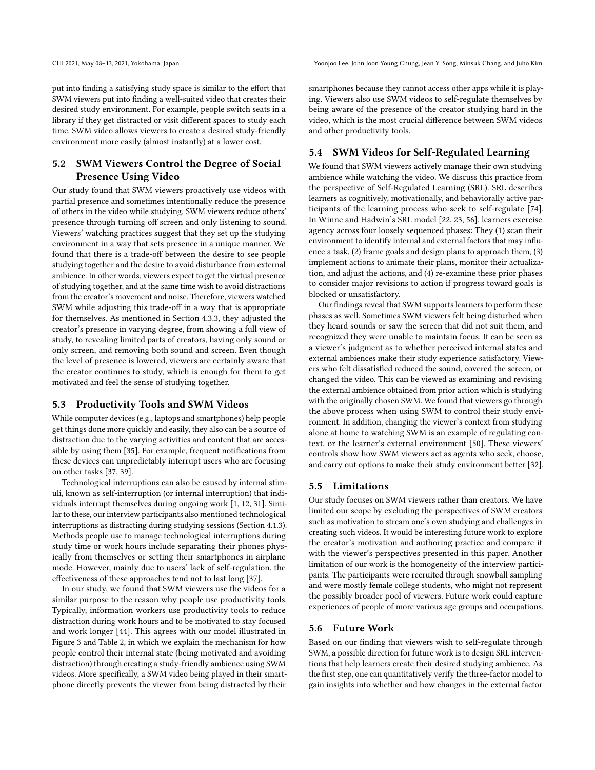put into finding a satisfying study space is similar to the effort that SWM viewers put into finding a well-suited video that creates their desired study environment. For example, people switch seats in a library if they get distracted or visit different spaces to study each time. SWM video allows viewers to create a desired study-friendly environment more easily (almost instantly) at a lower cost.

# 5.2 SWM Viewers Control the Degree of Social Presence Using Video

Our study found that SWM viewers proactively use videos with partial presence and sometimes intentionally reduce the presence of others in the video while studying. SWM viewers reduce others' presence through turning off screen and only listening to sound. Viewers' watching practices suggest that they set up the studying environment in a way that sets presence in a unique manner. We found that there is a trade-off between the desire to see people studying together and the desire to avoid disturbance from external ambience. In other words, viewers expect to get the virtual presence of studying together, and at the same time wish to avoid distractions from the creator's movement and noise. Therefore, viewers watched SWM while adjusting this trade-off in a way that is appropriate for themselves. As mentioned in Section [4.3.3,](#page-7-0) they adjusted the creator's presence in varying degree, from showing a full view of study, to revealing limited parts of creators, having only sound or only screen, and removing both sound and screen. Even though the level of presence is lowered, viewers are certainly aware that the creator continues to study, which is enough for them to get motivated and feel the sense of studying together.

## 5.3 Productivity Tools and SWM Videos

While computer devices (e.g., laptops and smartphones) help people get things done more quickly and easily, they also can be a source of distraction due to the varying activities and content that are accessible by using them [\[35\]](#page-11-33). For example, frequent notifications from these devices can unpredictably interrupt users who are focusing on other tasks [\[37,](#page-11-34) [39\]](#page-11-35).

Technological interruptions can also be caused by internal stimuli, known as self-interruption (or internal interruption) that individuals interrupt themselves during ongoing work [\[1,](#page-10-27) [12,](#page-10-28) [31\]](#page-10-29). Similar to these, our interview participants also mentioned technological interruptions as distracting during studying sessions (Section [4.1.3\)](#page-5-1). Methods people use to manage technological interruptions during study time or work hours include separating their phones physically from themselves or setting their smartphones in airplane mode. However, mainly due to users' lack of self-regulation, the effectiveness of these approaches tend not to last long [\[37\]](#page-11-34).

In our study, we found that SWM viewers use the videos for a similar purpose to the reason why people use productivity tools. Typically, information workers use productivity tools to reduce distraction during work hours and to be motivated to stay focused and work longer [\[44\]](#page-11-36). This agrees with our model illustrated in Figure [3](#page-5-0) and Table [2,](#page-8-0) in which we explain the mechanism for how people control their internal state (being motivated and avoiding distraction) through creating a study-friendly ambience using SWM videos. More specifically, a SWM video being played in their smartphone directly prevents the viewer from being distracted by their

CHI 2021, May 08–13, 2021, Yokohama, Japan Yoonjoo Lee, John Joon Young Chung, Jean Y. Song, Minsuk Chang, and Juho Kim

smartphones because they cannot access other apps while it is playing. Viewers also use SWM videos to self-regulate themselves by being aware of the presence of the creator studying hard in the video, which is the most crucial difference between SWM videos and other productivity tools.

## 5.4 SWM Videos for Self-Regulated Learning

We found that SWM viewers actively manage their own studying ambience while watching the video. We discuss this practice from the perspective of Self-Regulated Learning (SRL). SRL describes learners as cognitively, motivationally, and behaviorally active participants of the learning process who seek to self-regulate [\[74\]](#page-12-3). In Winne and Hadwin's SRL model [\[22,](#page-10-30) [23,](#page-10-31) [56\]](#page-11-37), learners exercise agency across four loosely sequenced phases: They (1) scan their environment to identify internal and external factors that may influence a task, (2) frame goals and design plans to approach them, (3) implement actions to animate their plans, monitor their actualization, and adjust the actions, and (4) re-examine these prior phases to consider major revisions to action if progress toward goals is blocked or unsatisfactory.

Our findings reveal that SWM supports learners to perform these phases as well. Sometimes SWM viewers felt being disturbed when they heard sounds or saw the screen that did not suit them, and recognized they were unable to maintain focus. It can be seen as a viewer's judgment as to whether perceived internal states and external ambiences make their study experience satisfactory. Viewers who felt dissatisfied reduced the sound, covered the screen, or changed the video. This can be viewed as examining and revising the external ambience obtained from prior action which is studying with the originally chosen SWM. We found that viewers go through the above process when using SWM to control their study environment. In addition, changing the viewer's context from studying alone at home to watching SWM is an example of regulating context, or the learner's external environment [\[50\]](#page-11-38). These viewers' controls show how SWM viewers act as agents who seek, choose, and carry out options to make their study environment better [\[32\]](#page-10-32).

## <span id="page-9-0"></span>5.5 Limitations

Our study focuses on SWM viewers rather than creators. We have limited our scope by excluding the perspectives of SWM creators such as motivation to stream one's own studying and challenges in creating such videos. It would be interesting future work to explore the creator's motivation and authoring practice and compare it with the viewer's perspectives presented in this paper. Another limitation of our work is the homogeneity of the interview participants. The participants were recruited through snowball sampling and were mostly female college students, who might not represent the possibly broader pool of viewers. Future work could capture experiences of people of more various age groups and occupations.

### 5.6 Future Work

Based on our finding that viewers wish to self-regulate through SWM, a possible direction for future work is to design SRL interventions that help learners create their desired studying ambience. As the first step, one can quantitatively verify the three-factor model to gain insights into whether and how changes in the external factor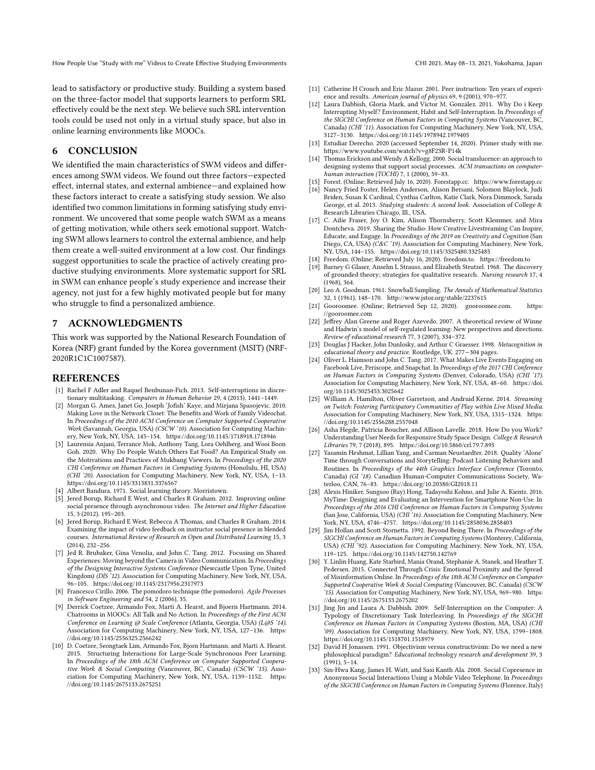How People Use "Study with me" Videos to Create Effective Studying Environments CHI 2021, May 08-13, 2021, Yokohama, Japan

lead to satisfactory or productive study. Building a system based on the three-factor model that supports learners to perform SRL effectively could be the next step. We believe such SRL intervention tools could be used not only in a virtual study space, but also in online learning environments like MOOCs.

### 6 CONCLUSION

We identified the main characteristics of SWM videos and differences among SWM videos. We found out three factors—expected effect, internal states, and external ambience—and explained how these factors interact to create a satisfying study session. We also identified two common limitations in forming satisfying study environment. We uncovered that some people watch SWM as a means of getting motivation, while others seek emotional support. Watching SWM allows learners to control the external ambience, and help them create a well-suited environment at a low cost. Our findings suggest opportunities to scale the practice of actively creating productive studying environments. More systematic support for SRL in SWM can enhance people's study experience and increase their agency, not just for a few highly motivated people but for many who struggle to find a personalized ambience.

### 7 ACKNOWLEDGMENTS

This work was supported by the National Research Foundation of Korea (NRF) grant funded by the Korea government (MSIT) (NRF-2020R1C1C1007587).

### REFERENCES

- <span id="page-10-27"></span>[1] Rachel F Adler and Raquel Benbunan-Fich. 2013. Self-interruptions in discretionary multitasking. Computers in Human Behavior 29, 4 (2013), 1441–1449.
- <span id="page-10-6"></span>[2] Morgan G. Ames, Janet Go, Joseph 'Jofish' Kaye, and Mirjana Spasojevic. 2010. Making Love in the Network Closet: The Benefits and Work of Family Videochat. In Proceedings of the 2010 ACM Conference on Computer Supported Cooperative Work (Savannah, Georgia, USA) (CSCW '10). Association for Computing Machinery, New York, NY, USA, 145–154.<https://doi.org/10.1145/1718918.1718946>
- <span id="page-10-1"></span>[3] Laurensia Anjani, Terrance Mok, Anthony Tang, Lora Oehlberg, and Wooi Boon Goh. 2020. Why Do People Watch Others Eat Food? An Empirical Study on the Motivations and Practices of Mukbang Viewers. In Proceedings of the 2020 CHI Conference on Human Factors in Computing Systems (Honolulu, HI, USA) (CHI '20). Association for Computing Machinery, New York, NY, USA, 1–13. <https://doi.org/10.1145/3313831.3376567>
- <span id="page-10-17"></span>[4] Albert Bandura. 1971. Social learning theory. Morristown.
- <span id="page-10-7"></span>[5] Jered Borup, Richard E West, and Charles R Graham. 2012. Improving online social presence through asynchronous video. The Internet and Higher Education 15, 3 (2012), 195–203.
- <span id="page-10-8"></span>[6] Jered Borup, Richard E West, Rebecca A Thomas, and Charles R Graham. 2014. Examining the impact of video feedback on instructor social presence in blended courses. International Review of Research in Open and Distributed Learning 15, 3 (2014), 232–256.
- <span id="page-10-5"></span>[7] Jed R. Brubaker, Gina Venolia, and John C. Tang. 2012. Focusing on Shared Experiences: Moving beyond the Camera in Video Communication. In Proceedings of the Designing Interactive Systems Conference (Newcastle Upon Tyne, United Kingdom) (DIS '12). Association for Computing Machinery, New York, NY, USA, 96–105.<https://doi.org/10.1145/2317956.2317973>
- <span id="page-10-14"></span>[8] Francesco Cirillo. 2006. The pomodoro technique (the pomodoro). Agile Processes in Software Engineering and 54, 2 (2006), 35.
- <span id="page-10-19"></span>[9] Derrick Coetzee, Armando Fox, Marti A. Hearst, and Bjoern Hartmann. 2014. Chatrooms in MOOCs: All Talk and No Action. In Proceedings of the First ACM Conference on Learning @ Scale Conference (Atlanta, Georgia, USA) (L@S '14). Association for Computing Machinery, New York, NY, USA, 127–136. [https:](https://doi.org/10.1145/2556325.2566242) [//doi.org/10.1145/2556325.2566242](https://doi.org/10.1145/2556325.2566242)
- <span id="page-10-20"></span>[10] D. Coetzee, Seongtaek Lim, Armando Fox, Bjorn Hartmann, and Marti A. Hearst. 2015. Structuring Interactions for Large-Scale Synchronous Peer Learning. In Proceedings of the 18th ACM Conference on Computer Supported Cooperative Work & Social Computing (Vancouver, BC, Canada) (CSCW '15). Association for Computing Machinery, New York, NY, USA, 1139–1152. [https:](https://doi.org/10.1145/2675133.2675251) [//doi.org/10.1145/2675133.2675251](https://doi.org/10.1145/2675133.2675251)
- <span id="page-10-18"></span>[11] Catherine H Crouch and Eric Mazur. 2001. Peer instruction: Ten years of experience and results. American journal of physics 69, 9 (2001), 970–977.
- <span id="page-10-28"></span>[12] Laura Dabbish, Gloria Mark, and Víctor M. González. 2011. Why Do i Keep Interrupting Myself? Environment, Habit and Self-Interruption. In Proceedings of the SIGCHI Conference on Human Factors in Computing Systems (Vancouver, BC, Canada) (CHI '11). Association for Computing Machinery, New York, NY, USA, 3127–3130.<https://doi.org/10.1145/1978942.1979405>
- <span id="page-10-0"></span>[13] Estudiar Derecho. 2020 (accessed September 14, 2020). Primer study with me. <https://www.youtube.com/watch?v=g8F23R-P14k>
- <span id="page-10-10"></span>[14] Thomas Erickson and Wendy A Kellogg. 2000. Social translucence: an approach to designing systems that support social processes. ACM transactions on computerhuman interaction (TOCHI) 7, 1 (2000), 59–83.
- <span id="page-10-12"></span>[15] Forest. (Online; Retrieved July 16, 2020). Forestapp.cc.<https://www.forestapp.cc>
- <span id="page-10-21"></span>[16] Nancy Fried Foster, Helen Anderson, Alison Bersani, Solomon Blaylock, Judi Briden, Susan K Cardinal, Cynthia Carlton, Katie Clark, Nora Dimmock, Sarada George, et al. 2013. Studying students: A second look. Association of College & Research Libraries Chicago, Ill., USA.
- <span id="page-10-4"></span>[17] C. Ailie Fraser, Joy O. Kim, Alison Thornsberry, Scott Klemmer, and Mira Dontcheva. 2019. Sharing the Studio: How Creative Livestreaming Can Inspire, Educate, and Engage. In Proceedings of the 2019 on Creativity and Cognition (San Diego, CA, USA) (C&C '19). Association for Computing Machinery, New York, NY, USA, 144–155.<https://doi.org/10.1145/3325480.3325485>
- <span id="page-10-13"></span>[18] Freedom. (Online; Retrieved July 16, 2020). freedom.to.<https://freedom.to>
- <span id="page-10-23"></span>Barney G Glaser, Anselm L Strauss, and Elizabeth Strutzel. 1968. The discovery of grounded theory; strategies for qualitative research. Nursing research 17, 4 (1968), 364.
- <span id="page-10-26"></span>[20] Leo A. Goodman. 1961. Snowball Sampling. The Annals of Mathematical Statistics 32, 1 (1961), 148–170.<http://www.jstor.org/stable/2237615>
- <span id="page-10-22"></span>[21] Gooroomee. (Online; Retrieved Sep 12, 2020). gooroomee.com. [https:](https://gooroomee.com) [//gooroomee.com](https://gooroomee.com)
- <span id="page-10-30"></span>[22] Jeffrey Alan Greene and Roger Azevedo. 2007. A theoretical review of Winne and Hadwin's model of self-regulated learning: New perspectives and directions. Review of educational research 77, 3 (2007), 334–372.
- <span id="page-10-31"></span>[23] Douglas J Hacker, John Dunlosky, and Arthur C Graesser. 1998. Metacognition in educational theory and practice. Routledge, UK. 277—304 pages.
- <span id="page-10-2"></span>[24] Oliver L. Haimson and John C. Tang. 2017. What Makes Live Events Engaging on Facebook Live, Periscope, and Snapchat. In Proceedings of the 2017 CHI Conference on Human Factors in Computing Systems (Denver, Colorado, USA) (CHI '17). Association for Computing Machinery, New York, NY, USA, 48–60. [https://doi.](https://doi.org/10.1145/3025453.3025642) [org/10.1145/3025453.3025642](https://doi.org/10.1145/3025453.3025642)
- <span id="page-10-3"></span>[25] William A. Hamilton, Oliver Garretson, and Andruid Kerne. 2014. Streaming on Twitch: Fostering Participatory Communities of Play within Live Mixed Media. Association for Computing Machinery, New York, NY, USA, 1315–1324. [https:](https://doi.org/10.1145/2556288.2557048) [//doi.org/10.1145/2556288.2557048](https://doi.org/10.1145/2556288.2557048)
- <span id="page-10-16"></span>[26] Asha Hegde, Patricia Boucher, and Allison Lavelle. 2018. How Do you Work? Understanding User Needs for Responsive Study Space Design. College & Research Libraries 79, 7 (2018), 895.<https://doi.org/10.5860/crl.79.7.895>
- <span id="page-10-24"></span>[27] Yasamin Heshmat, Lillian Yang, and Carman Neustaedter. 2018. Quality 'Alone' Time through Conversations and Storytelling: Podcast Listening Behaviors and Routines. In Proceedings of the 44th Graphics Interface Conference (Toronto, Canada) (GI '18). Canadian Human-Computer Communications Society, Waterloo, CAN, 76–83.<https://doi.org/10.20380/GI2018.11>
- <span id="page-10-15"></span>[28] Alexis Hiniker, Sungsoo (Ray) Hong, Tadayoshi Kohno, and Julie A. Kientz. 2016. MyTime: Designing and Evaluating an Intervention for Smartphone Non-Use. In Proceedings of the 2016 CHI Conference on Human Factors in Computing Systems (San Jose, California, USA) (CHI '16). Association for Computing Machinery, New York, NY, USA, 4746–4757.<https://doi.org/10.1145/2858036.2858403>
- <span id="page-10-9"></span>[29] Jim Hollan and Scott Stornetta. 1992. Beyond Being There. In Proceedings of the SIGCHI Conference on Human Factors in Computing Systems (Monterey, California, USA) (CHI '92). Association for Computing Machinery, New York, NY, USA, 119–125.<https://doi.org/10.1145/142750.142769>
- <span id="page-10-25"></span>[30] Y. Linlin Huang, Kate Starbird, Mania Orand, Stephanie A. Stanek, and Heather T. Pedersen. 2015. Connected Through Crisis: Emotional Proximity and the Spread of Misinformation Online. In Proceedings of the 18th ACM Conference on Computer Supported Cooperative Work & Social Computing (Vancouver, BC, Canada) (CSCW '15). Association for Computing Machinery, New York, NY, USA, 969–980. [https:](https://doi.org/10.1145/2675133.2675202) [//doi.org/10.1145/2675133.2675202](https://doi.org/10.1145/2675133.2675202)
- <span id="page-10-29"></span>[31] Jing Jin and Laura A. Dabbish. 2009. Self-Interruption on the Computer: A Typology of Discretionary Task Interleaving. In Proceedings of the SIGCHI Conference on Human Factors in Computing Systems (Boston, MA, USA) (CHI '09). Association for Computing Machinery, New York, NY, USA, 1799–1808. <https://doi.org/10.1145/1518701.1518979>
- <span id="page-10-32"></span>[32] David H Jonassen. 1991. Objectivism versus constructivism: Do we need a new philosophical paradigm? Educational technology research and development 39, 3 (1991), 5–14.
- <span id="page-10-11"></span>[33] Sin-Hwa Kang, James H. Watt, and Sasi Kanth Ala. 2008. Social Copresence in Anonymous Social Interactions Using a Mobile Video Telephone. In Proceedings of the SIGCHI Conference on Human Factors in Computing Systems (Florence, Italy)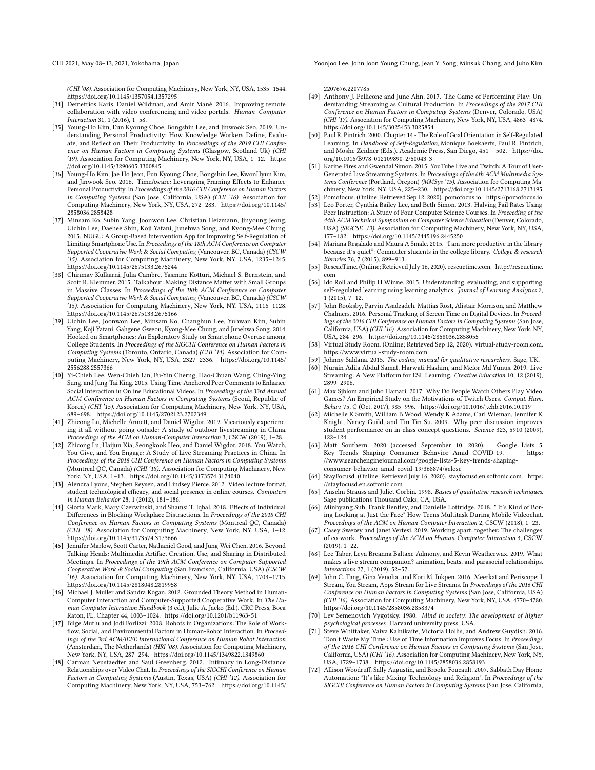CHI 2021, May 08–13, 2021, Yokohama, Japan Yoonjoo Lee, John Joon Young Chung, Jean Y. Song, Minsuk Chang, and Juho Kim

(CHI '08). Association for Computing Machinery, New York, NY, USA, 1535–1544. <https://doi.org/10.1145/1357054.1357295>

- <span id="page-11-9"></span>[34] Demetrios Karis, Daniel Wildman, and Amir Mané. 2016. Improving remote collaboration with video conferencing and video portals. Human–Computer Interaction 31, 1 (2016), 1–58.
- <span id="page-11-33"></span>[35] Young-Ho Kim, Eun Kyoung Choe, Bongshin Lee, and Jinwook Seo. 2019. Understanding Personal Productivity: How Knowledge Workers Define, Evaluate, and Reflect on Their Productivity. In Proceedings of the 2019 CHI Conference on Human Factors in Computing Systems (Glasgow, Scotland Uk) (CHI '19). Association for Computing Machinery, New York, NY, USA, 1–12. [https:](https://doi.org/10.1145/3290605.3300845) [//doi.org/10.1145/3290605.3300845](https://doi.org/10.1145/3290605.3300845)
- <span id="page-11-17"></span>[36] Young-Ho Kim, Jae Ho Jeon, Eun Kyoung Choe, Bongshin Lee, KwonHyun Kim, and Jinwook Seo. 2016. TimeAware: Leveraging Framing Effects to Enhance Personal Productivity. In Proceedings of the 2016 CHI Conference on Human Factors in Computing Systems (San Jose, California, USA) (CHI '16). Association for Computing Machinery, New York, NY, USA, 272–283. [https://doi.org/10.1145/](https://doi.org/10.1145/2858036.2858428) [2858036.2858428](https://doi.org/10.1145/2858036.2858428)
- <span id="page-11-34"></span>[37] Minsam Ko, Subin Yang, Joonwon Lee, Christian Heizmann, Jinyoung Jeong, Uichin Lee, Daehee Shin, Koji Yatani, Junehwa Song, and Kyong-Mee Chung. 2015. NUGU: A Group-Based Intervention App for Improving Self-Regulation of Limiting Smartphone Use. In Proceedings of the 18th ACM Conference on Computer Supported Cooperative Work & Social Computing (Vancouver, BC, Canada) (CSCW '15). Association for Computing Machinery, New York, NY, USA, 1235–1245. <https://doi.org/10.1145/2675133.2675244>
- <span id="page-11-23"></span>[38] Chinmay Kulkarni, Julia Cambre, Yasmine Kotturi, Michael S. Bernstein, and Scott R. Klemmer. 2015. Talkabout: Making Distance Matter with Small Groups in Massive Classes. In Proceedings of the 18th ACM Conference on Computer Supported Cooperative Work & Social Computing (Vancouver, BC, Canada) (CSCW '15). Association for Computing Machinery, New York, NY, USA, 1116–1128. <https://doi.org/10.1145/2675133.2675166>
- <span id="page-11-35"></span>[39] Uichin Lee, Joonwon Lee, Minsam Ko, Changhun Lee, Yuhwan Kim, Subin Yang, Koji Yatani, Gahgene Gweon, Kyong-Mee Chung, and Junehwa Song. 2014. Hooked on Smartphones: An Exploratory Study on Smartphone Overuse among College Students. In Proceedings of the SIGCHI Conference on Human Factors in Computing Systems (Toronto, Ontario, Canada) (CHI '14). Association for Computing Machinery, New York, NY, USA, 2327–2336. [https://doi.org/10.1145/](https://doi.org/10.1145/2556288.2557366) [2556288.2557366](https://doi.org/10.1145/2556288.2557366)
- <span id="page-11-25"></span>[40] Yi-Chieh Lee, Wen-Chieh Lin, Fu-Yin Cherng, Hao-Chuan Wang, Ching-Ying Sung, and Jung-Tai King. 2015. Using Time-Anchored Peer Comments to Enhance Social Interaction in Online Educational Videos. In Proceedings of the 33rd Annual ACM Conference on Human Factors in Computing Systems (Seoul, Republic of Korea) (CHI '15). Association for Computing Machinery, New York, NY, USA, 689–698.<https://doi.org/10.1145/2702123.2702349>
- <span id="page-11-5"></span>[41] Zhicong Lu, Michelle Annett, and Daniel Wigdor. 2019. Vicariously experiencing it all without going outside: A study of outdoor livestreaming in China. Proceedings of the ACM on Human-Computer Interaction 3, CSCW (2019), 1–28.
- <span id="page-11-6"></span>[42] Zhicong Lu, Haijun Xia, Seongkook Heo, and Daniel Wigdor. 2018. You Watch, You Give, and You Engage: A Study of Live Streaming Practices in China. In Proceedings of the 2018 CHI Conference on Human Factors in Computing Systems (Montreal QC, Canada) (CHI '18). Association for Computing Machinery, New York, NY, USA, 1–13.<https://doi.org/10.1145/3173574.3174040>
- <span id="page-11-11"></span>[43] Alendra Lyons, Stephen Reysen, and Lindsey Pierce. 2012. Video lecture format, student technological efficacy, and social presence in online courses. Computers in Human Behavior 28, 1 (2012), 181–186.
- <span id="page-11-36"></span>[44] Gloria Mark, Mary Czerwinski, and Shamsi T. Iqbal. 2018. Effects of Individual Differences in Blocking Workplace Distractions. In Proceedings of the 2018 CHI Conference on Human Factors in Computing Systems (Montreal QC, Canada) (CHI '18). Association for Computing Machinery, New York, NY, USA, 1–12. <https://doi.org/10.1145/3173574.3173666>
- <span id="page-11-12"></span>[45] Jennifer Marlow, Scott Carter, Nathaniel Good, and Jung-Wei Chen. 2016. Beyond Talking Heads: Multimedia Artifact Creation, Use, and Sharing in Distributed Meetings. In Proceedings of the 19th ACM Conference on Computer-Supported Cooperative Work & Social Computing (San Francisco, California, USA) (CSCW '16). Association for Computing Machinery, New York, NY, USA, 1703–1715. <https://doi.org/10.1145/2818048.2819958>
- <span id="page-11-28"></span>[46] Michael J. Muller and Sandra Kogan. 2012. Grounded Theory Method in Human-Computer Interaction and Computer-Supported Cooperative Work. In The Human Computer Interaction Handbook (3 ed.), Julie A. Jacko (Ed.). CRC Press, Boca Raton, FL, Chapter 44, 1003–1024.<https://doi.org/10.1201/b11963-51>
- <span id="page-11-30"></span>[47] Bilge Mutlu and Jodi Forlizzi. 2008. Robots in Organizations: The Role of Workflow, Social, and Environmental Factors in Human-Robot Interaction. In Proceedings of the 3rd ACM/IEEE International Conference on Human Robot Interaction (Amsterdam, The Netherlands) (HRI '08). Association for Computing Machinery, New York, NY, USA, 287–294.<https://doi.org/10.1145/1349822.1349860>
- <span id="page-11-10"></span>[48] Carman Neustaedter and Saul Greenberg. 2012. Intimacy in Long-Distance Relationships over Video Chat. In Proceedings of the SIGCHI Conference on Human Factors in Computing Systems (Austin, Texas, USA) (CHI '12). Association for Computing Machinery, New York, NY, USA, 753–762. [https://doi.org/10.1145/](https://doi.org/10.1145/2207676.2207785)

[2207676.2207785](https://doi.org/10.1145/2207676.2207785)

- <span id="page-11-3"></span>[49] Anthony J. Pellicone and June Ahn. 2017. The Game of Performing Play: Understanding Streaming as Cultural Production. In Proceedings of the 2017 CHI Conference on Human Factors in Computing Systems (Denver, Colorado, USA) (CHI '17). Association for Computing Machinery, New York, NY, USA, 4863–4874. <https://doi.org/10.1145/3025453.3025854>
- <span id="page-11-38"></span>[50] Paul R. Pintrich. 2000. Chapter 14 - The Role of Goal Orientation in Self-Regulated Learning. In Handbook of Self-Regulation, Monique Boekaerts, Paul R. Pintrich, and Moshe Zeidner (Eds.). Academic Press, San Diego, 451 – 502. [https://doi.](https://doi.org/10.1016/B978-012109890-2/50043-3) [org/10.1016/B978-012109890-2/50043-3](https://doi.org/10.1016/B978-012109890-2/50043-3)
- <span id="page-11-2"></span>[51] Karine Pires and Gwendal Simon. 2015. YouTube Live and Twitch: A Tour of User-Generated Live Streaming Systems. In Proceedings of the 6th ACM Multimedia Systems Conference (Portland, Oregon) (MMSys '15). Association for Computing Machinery, New York, NY, USA, 225–230.<https://doi.org/10.1145/2713168.2713195>
- <span id="page-11-24"></span><span id="page-11-15"></span>[52] Pomofocus. (Online; Retrieved Sep 12, 2020). pomofocus.io.<https://pomofocus.io> Leo Porter, Cynthia Bailey Lee, and Beth Simon. 2013. Halving Fail Rates Using Peer Instruction: A Study of Four Computer Science Courses. In Proceeding of the 44th ACM Technical Symposium on Computer Science Education (Denver, Colorado, USA) (SIGCSE '13). Association for Computing Machinery, New York, NY, USA, 177–182.<https://doi.org/10.1145/2445196.2445250>
- <span id="page-11-26"></span>[54] Mariana Regalado and Maura A Smale. 2015. "I am more productive in the library because it's quiet": Commuter students in the college library. College & research libraries 76, 7 (2015), 899–913.
- <span id="page-11-16"></span>[55] RescueTime. (Online; Retrieved July 16, 2020). rescuetime.com. [http://rescuetime.](http://rescuetime.com) [com](http://rescuetime.com)
- <span id="page-11-37"></span>[56] Ido Roll and Philip H Winne. 2015. Understanding, evaluating, and supporting self-regulated learning using learning analytics. Journal of Learning Analytics 2, 1 (2015), 7–12.
- <span id="page-11-18"></span>[57] John Rooksby, Parvin Asadzadeh, Mattias Rost, Alistair Morrison, and Matthew Chalmers. 2016. Personal Tracking of Screen Time on Digital Devices. In Proceedings of the 2016 CHI Conference on Human Factors in Computing Systems (San Jose, California, USA) (CHI '16). Association for Computing Machinery, New York, NY, USA, 284–296.<https://doi.org/10.1145/2858036.2858055>
- <span id="page-11-27"></span>[58] Virtual Study Room. (Online; Retrieved Sep 12, 2020). virtual-study-room.com. <https://www.virtual-study-room.com>
- <span id="page-11-31"></span>[59] Johnny Saldaña. 2015. *The coding manual for qualitative researchers.* Sage, UK.<br>[60] Nurain Adila Abdul Samat. Harwati Hashim. and Melor Md Yunus. 2019. Live
- <span id="page-11-7"></span>[60] Nurain Adila Abdul Samat, Harwati Hashim, and Melor Md Yunus. 2019. Live Streaming: A New Platform for ESL Learning. Creative Education 10, 12 (2019), 2899–2906.
- <span id="page-11-4"></span>[61] Max Sjblom and Juho Hamari. 2017. Why Do People Watch Others Play Video Games? An Empirical Study on the Motivations of Twitch Users. Comput. Hum. Behav. 75, C (Oct. 2017), 985–996.<https://doi.org/10.1016/j.chb.2016.10.019>
- <span id="page-11-22"></span>[62] Michelle K Smith, William B Wood, Wendy K Adams, Carl Wieman, Jennifer K Knight, Nancy Guild, and Tin Tin Su. 2009. Why peer discussion improves student performance on in-class concept questions. Science 323, 5910 (2009), 122–124.
- <span id="page-11-1"></span>[63] Matt Southern. 2020 (accessed September 10, 2020). Google Lists 5 Key Trends Shaping Consumer Behavior Amid COVID-19. [//www.searchenginejournal.com/google-lists-5-key-trends-shaping](https://www.searchenginejournal.com/google-lists-5-key-trends-shaping-consumer-behavior-amid-covid-19/368874/#close)[consumer-behavior-amid-covid-19/368874/#close](https://www.searchenginejournal.com/google-lists-5-key-trends-shaping-consumer-behavior-amid-covid-19/368874/#close)
- <span id="page-11-14"></span>[64] StayFocusd. (Online; Retrieved July 16, 2020). stayfocusd.en.softonic.com. [https:](https://stayfocusd.en.softonic.com) [//stayfocusd.en.softonic.com](https://stayfocusd.en.softonic.com)
- <span id="page-11-32"></span>[65] Anselm Strauss and Juliet Corbin. 1998. Basics of qualitative research techniques. Sage publications Thousand Oaks, CA, USA.
- <span id="page-11-13"></span>[66] Minhyang Suh, Frank Bentley, and Danielle Lottridge. 2018. " It's Kind of Boring Looking at Just the Face" How Teens Multitask During Mobile Videochat. Proceedings of the ACM on Human-Computer Interaction 2, CSCW (2018), 1–23.
- <span id="page-11-20"></span>[67] Casey Swezey and Janet Vertesi. 2019. Working apart, together: The challenges of co-work. Proceedings of the ACM on Human-Computer Interaction 3, CSCW (2019), 1–22.
- <span id="page-11-8"></span>[68] Lee Taber, Leya Breanna Baltaxe-Admony, and Kevin Weatherwax. 2019. What makes a live stream companion? animation, beats, and parasocial relationships. interactions 27, 1 (2019), 52–57.
- <span id="page-11-0"></span>[69] John C. Tang, Gina Venolia, and Kori M. Inkpen. 2016. Meerkat and Periscope: I Stream, You Stream, Apps Stream for Live Streams. In Proceedings of the 2016 CHI Conference on Human Factors in Computing Systems (San Jose, California, USA) (CHI '16). Association for Computing Machinery, New York, NY, USA, 4770–4780. <https://doi.org/10.1145/2858036.2858374>
- <span id="page-11-21"></span>[70] Lev Semenovich Vygotsky. 1980. Mind in society: The development of higher psychological processes. Harvard university press, USA.
- <span id="page-11-19"></span>[71] Steve Whittaker, Vaiva Kalnikaite, Victoria Hollis, and Andrew Guydish. 2016. 'Don't Waste My Time': Use of Time Information Improves Focus. In Proceedings of the 2016 CHI Conference on Human Factors in Computing Systems (San Jose, California, USA) (CHI '16). Association for Computing Machinery, New York, NY, USA, 1729–1738.<https://doi.org/10.1145/2858036.2858193>
- <span id="page-11-29"></span>[72] Allison Woodruff, Sally Augustin, and Brooke Foucault. 2007. Sabbath Day Home Automation: "It's like Mixing Technology and Religion". In Proceedings of the SIGCHI Conference on Human Factors in Computing Systems (San Jose, California,